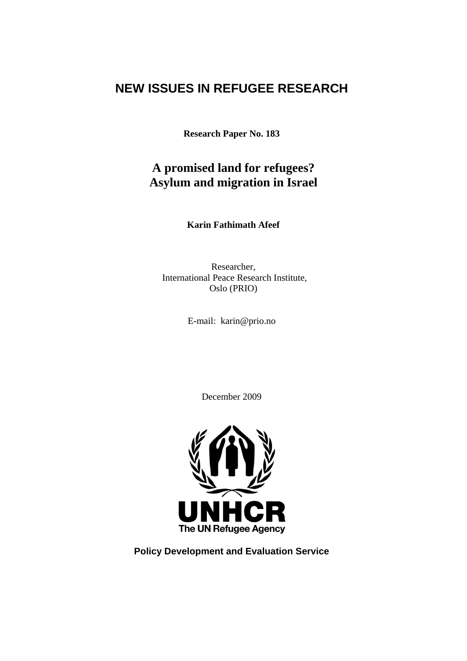# **NEW ISSUES IN REFUGEE RESEARCH**

**Research Paper No. 183**

# **A promised land for refugees? Asylum and migration in Israel**

**Karin Fathimath Afeef** 

Researcher, International Peace Research Institute, Oslo (PRIO)

E-mail: karin@prio.no

December 2009



**Policy Development and Evaluation Service**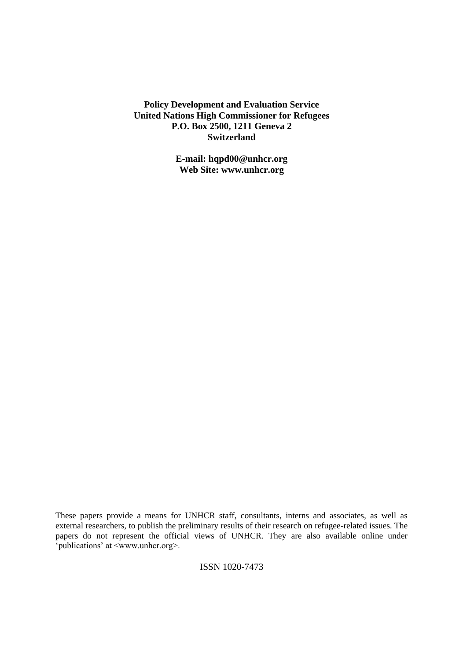**Policy Development and Evaluation Service United Nations High Commissioner for Refugees P.O. Box 2500, 1211 Geneva 2 Switzerland**

> **E-mail: hqpd00@unhcr.org Web Site: www.unhcr.org**

ISSN 1020-7473

These papers provide a means for UNHCR staff, consultants, interns and associates, as well as external researchers, to publish the preliminary results of their research on refugee-related issues. The papers do not represent the official views of UNHCR. They are also available online under ‗publications' at <www.unhcr.org>.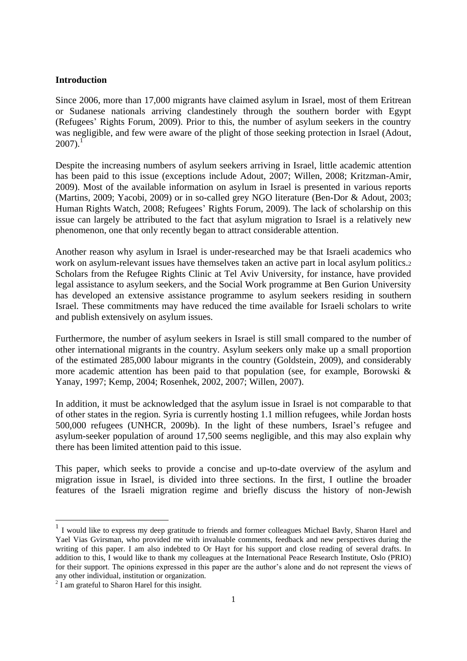#### **Introduction**

Since 2006, more than 17,000 migrants have claimed asylum in Israel, most of them Eritrean or Sudanese nationals arriving clandestinely through the southern border with Egypt (Refugees' Rights Forum, 2009). Prior to this, the number of asylum seekers in the country was negligible, and few were aware of the plight of those seeking protection in Israel (Adout,  $2007$ ).<sup>1</sup>

Despite the increasing numbers of asylum seekers arriving in Israel, little academic attention has been paid to this issue (exceptions include Adout, 2007; Willen, 2008; Kritzman-Amir, 2009). Most of the available information on asylum in Israel is presented in various reports (Martins, 2009; Yacobi, 2009) or in so-called grey NGO literature (Ben-Dor & Adout, 2003; Human Rights Watch, 2008; Refugees' Rights Forum, 2009). The lack of scholarship on this issue can largely be attributed to the fact that asylum migration to Israel is a relatively new phenomenon, one that only recently began to attract considerable attention.

Another reason why asylum in Israel is under-researched may be that Israeli academics who work on asylum-relevant issues have themselves taken an active part in local asylum politics. Scholars from the Refugee Rights Clinic at Tel Aviv University, for instance, have provided legal assistance to asylum seekers, and the Social Work programme at Ben Gurion University has developed an extensive assistance programme to asylum seekers residing in southern Israel. These commitments may have reduced the time available for Israeli scholars to write and publish extensively on asylum issues.

Furthermore, the number of asylum seekers in Israel is still small compared to the number of other international migrants in the country. Asylum seekers only make up a small proportion of the estimated 285,000 labour migrants in the country (Goldstein, 2009), and considerably more academic attention has been paid to that population (see, for example, Borowski & Yanay, 1997; Kemp, 2004; Rosenhek, 2002, 2007; Willen, 2007).

In addition, it must be acknowledged that the asylum issue in Israel is not comparable to that of other states in the region. Syria is currently hosting 1.1 million refugees, while Jordan hosts 500,000 refugees (UNHCR, 2009b). In the light of these numbers, Israel's refugee and asylum-seeker population of around 17,500 seems negligible, and this may also explain why there has been limited attention paid to this issue.

This paper, which seeks to provide a concise and up-to-date overview of the asylum and migration issue in Israel, is divided into three sections. In the first, I outline the broader features of the Israeli migration regime and briefly discuss the history of non-Jewish

**.** 

<sup>&</sup>lt;sup>1</sup> I would like to express my deep gratitude to friends and former colleagues Michael Bavly, Sharon Harel and Yael Vias Gvirsman, who provided me with invaluable comments, feedback and new perspectives during the writing of this paper. I am also indebted to Or Hayt for his support and close reading of several drafts. In addition to this, I would like to thank my colleagues at the International Peace Research Institute, Oslo (PRIO) for their support. The opinions expressed in this paper are the author's alone and do not represent the views of any other individual, institution or organization.

 $2$  I am grateful to Sharon Harel for this insight.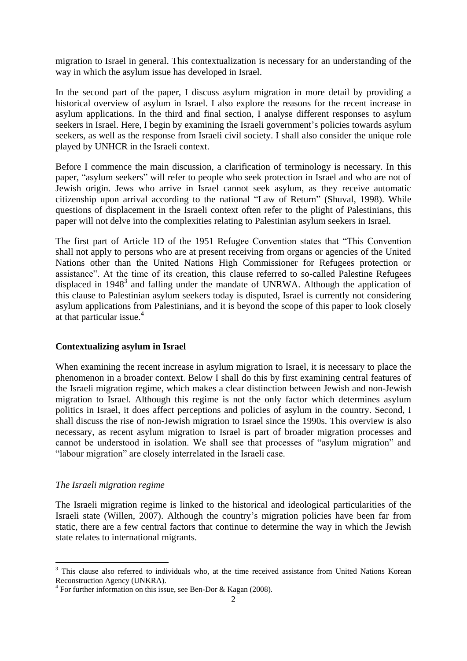migration to Israel in general. This contextualization is necessary for an understanding of the way in which the asylum issue has developed in Israel.

In the second part of the paper, I discuss asylum migration in more detail by providing a historical overview of asylum in Israel. I also explore the reasons for the recent increase in asylum applications. In the third and final section, I analyse different responses to asylum seekers in Israel. Here, I begin by examining the Israeli government's policies towards asylum seekers, as well as the response from Israeli civil society. I shall also consider the unique role played by UNHCR in the Israeli context.

Before I commence the main discussion, a clarification of terminology is necessary. In this paper, "asylum seekers" will refer to people who seek protection in Israel and who are not of Jewish origin. Jews who arrive in Israel cannot seek asylum, as they receive automatic citizenship upon arrival according to the national "Law of Return" (Shuval, 1998). While questions of displacement in the Israeli context often refer to the plight of Palestinians, this paper will not delve into the complexities relating to Palestinian asylum seekers in Israel.

The first part of Article 1D of the 1951 Refugee Convention states that "This Convention" shall not apply to persons who are at present receiving from organs or agencies of the United Nations other than the United Nations High Commissioner for Refugees protection or assistance". At the time of its creation, this clause referred to so-called Palestine Refugees displaced in  $1948<sup>3</sup>$  and falling under the mandate of UNRWA. Although the application of this clause to Palestinian asylum seekers today is disputed, Israel is currently not considering asylum applications from Palestinians, and it is beyond the scope of this paper to look closely at that particular issue.<sup>4</sup>

## **Contextualizing asylum in Israel**

When examining the recent increase in asylum migration to Israel, it is necessary to place the phenomenon in a broader context. Below I shall do this by first examining central features of the Israeli migration regime, which makes a clear distinction between Jewish and non-Jewish migration to Israel. Although this regime is not the only factor which determines asylum politics in Israel, it does affect perceptions and policies of asylum in the country. Second, I shall discuss the rise of non-Jewish migration to Israel since the 1990s. This overview is also necessary, as recent asylum migration to Israel is part of broader migration processes and cannot be understood in isolation. We shall see that processes of "asylum migration" and ―labour migration‖ are closely interrelated in the Israeli case.

## *The Israeli migration regime*

**.** 

The Israeli migration regime is linked to the historical and ideological particularities of the Israeli state (Willen, 2007). Although the country's migration policies have been far from static, there are a few central factors that continue to determine the way in which the Jewish state relates to international migrants.

<sup>&</sup>lt;sup>3</sup> This clause also referred to individuals who, at the time received assistance from United Nations Korean Reconstruction Agency (UNKRA).

<sup>&</sup>lt;sup>4</sup> For further information on this issue, see Ben-Dor & Kagan (2008).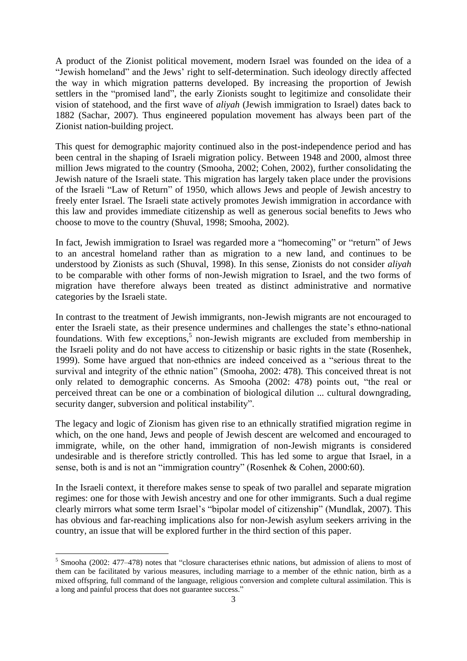A product of the Zionist political movement, modern Israel was founded on the idea of a "Jewish homeland" and the Jews' right to self-determination. Such ideology directly affected the way in which migration patterns developed. By increasing the proportion of Jewish settlers in the "promised land", the early Zionists sought to legitimize and consolidate their vision of statehood, and the first wave of *aliyah* (Jewish immigration to Israel) dates back to 1882 (Sachar, 2007). Thus engineered population movement has always been part of the Zionist nation-building project.

This quest for demographic majority continued also in the post-independence period and has been central in the shaping of Israeli migration policy. Between 1948 and 2000, almost three million Jews migrated to the country (Smooha, 2002; Cohen, 2002), further consolidating the Jewish nature of the Israeli state. This migration has largely taken place under the provisions of the Israeli "Law of Return" of 1950, which allows Jews and people of Jewish ancestry to freely enter Israel. The Israeli state actively promotes Jewish immigration in accordance with this law and provides immediate citizenship as well as generous social benefits to Jews who choose to move to the country (Shuval, 1998; Smooha, 2002).

In fact, Jewish immigration to Israel was regarded more a "homecoming" or "return" of Jews to an ancestral homeland rather than as migration to a new land, and continues to be understood by Zionists as such (Shuval, 1998). In this sense, Zionists do not consider *aliyah* to be comparable with other forms of non-Jewish migration to Israel, and the two forms of migration have therefore always been treated as distinct administrative and normative categories by the Israeli state.

In contrast to the treatment of Jewish immigrants, non-Jewish migrants are not encouraged to enter the Israeli state, as their presence undermines and challenges the state's ethno-national foundations. With few exceptions,<sup>5</sup> non-Jewish migrants are excluded from membership in the Israeli polity and do not have access to citizenship or basic rights in the state (Rosenhek, 1999). Some have argued that non-ethnics are indeed conceived as a "serious threat to the survival and integrity of the ethnic nation" (Smooha, 2002: 478). This conceived threat is not only related to demographic concerns. As Smooha (2002: 478) points out, "the real or perceived threat can be one or a combination of biological dilution ... cultural downgrading, security danger, subversion and political instability".

The legacy and logic of Zionism has given rise to an ethnically stratified migration regime in which, on the one hand, Jews and people of Jewish descent are welcomed and encouraged to immigrate, while, on the other hand, immigration of non-Jewish migrants is considered undesirable and is therefore strictly controlled. This has led some to argue that Israel, in a sense, both is and is not an "immigration country" (Rosenhek & Cohen, 2000:60).

In the Israeli context, it therefore makes sense to speak of two parallel and separate migration regimes: one for those with Jewish ancestry and one for other immigrants. Such a dual regime clearly mirrors what some term Israel's "bipolar model of citizenship" (Mundlak, 2007). This has obvious and far-reaching implications also for non-Jewish asylum seekers arriving in the country, an issue that will be explored further in the third section of this paper.

**.** 

<sup>&</sup>lt;sup>5</sup> Smooha (2002: 477–478) notes that "closure characterises ethnic nations, but admission of aliens to most of them can be facilitated by various measures, including marriage to a member of the ethnic nation, birth as a mixed offspring, full command of the language, religious conversion and complete cultural assimilation. This is a long and painful process that does not guarantee success."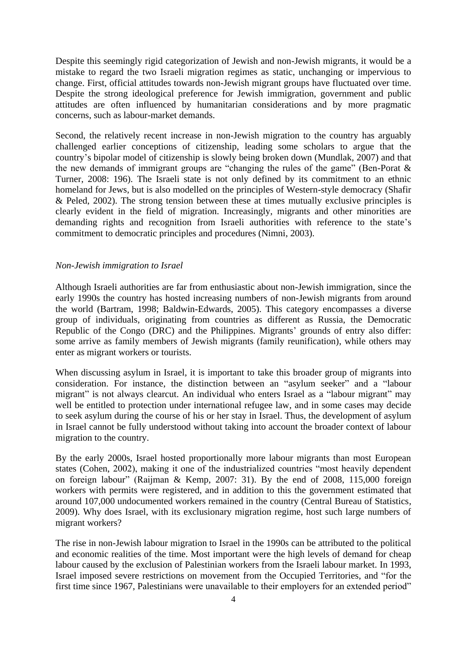Despite this seemingly rigid categorization of Jewish and non-Jewish migrants, it would be a mistake to regard the two Israeli migration regimes as static, unchanging or impervious to change. First, official attitudes towards non-Jewish migrant groups have fluctuated over time. Despite the strong ideological preference for Jewish immigration, government and public attitudes are often influenced by humanitarian considerations and by more pragmatic concerns, such as labour-market demands.

Second, the relatively recent increase in non-Jewish migration to the country has arguably challenged earlier conceptions of citizenship, leading some scholars to argue that the country's bipolar model of citizenship is slowly being broken down (Mundlak, 2007) and that the new demands of immigrant groups are "changing the rules of the game" (Ben-Porat  $\&$ Turner, 2008: 196). The Israeli state is not only defined by its commitment to an ethnic homeland for Jews, but is also modelled on the principles of Western-style democracy (Shafir & Peled, 2002). The strong tension between these at times mutually exclusive principles is clearly evident in the field of migration. Increasingly, migrants and other minorities are demanding rights and recognition from Israeli authorities with reference to the state's commitment to democratic principles and procedures (Nimni, 2003).

### *Non-Jewish immigration to Israel*

Although Israeli authorities are far from enthusiastic about non-Jewish immigration, since the early 1990s the country has hosted increasing numbers of non-Jewish migrants from around the world (Bartram, 1998; Baldwin-Edwards, 2005). This category encompasses a diverse group of individuals, originating from countries as different as Russia, the Democratic Republic of the Congo (DRC) and the Philippines. Migrants' grounds of entry also differ: some arrive as family members of Jewish migrants (family reunification), while others may enter as migrant workers or tourists.

When discussing asylum in Israel, it is important to take this broader group of migrants into consideration. For instance, the distinction between an "asylum seeker" and a "labour migrant" is not always clearcut. An individual who enters Israel as a "labour migrant" may well be entitled to protection under international refugee law, and in some cases may decide to seek asylum during the course of his or her stay in Israel. Thus, the development of asylum in Israel cannot be fully understood without taking into account the broader context of labour migration to the country.

By the early 2000s, Israel hosted proportionally more labour migrants than most European states (Cohen, 2002), making it one of the industrialized countries "most heavily dependent on foreign labour" (Raijman & Kemp, 2007: 31). By the end of 2008, 115,000 foreign workers with permits were registered, and in addition to this the government estimated that around 107,000 undocumented workers remained in the country (Central Bureau of Statistics, 2009). Why does Israel, with its exclusionary migration regime, host such large numbers of migrant workers?

The rise in non-Jewish labour migration to Israel in the 1990s can be attributed to the political and economic realities of the time. Most important were the high levels of demand for cheap labour caused by the exclusion of Palestinian workers from the Israeli labour market. In 1993, Israel imposed severe restrictions on movement from the Occupied Territories, and "for the first time since 1967, Palestinians were unavailable to their employers for an extended period"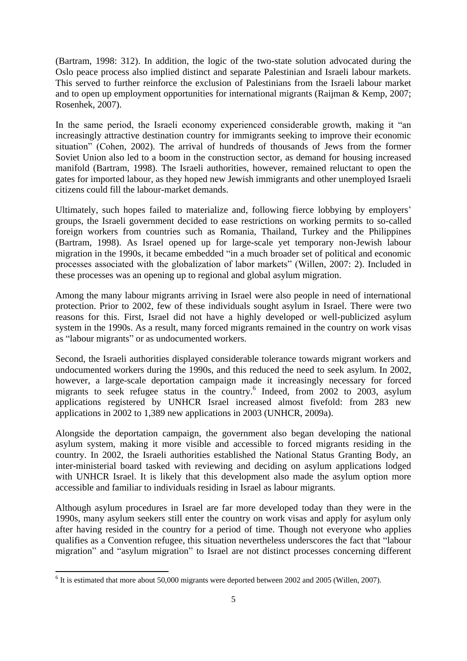(Bartram, 1998: 312). In addition, the logic of the two-state solution advocated during the Oslo peace process also implied distinct and separate Palestinian and Israeli labour markets. This served to further reinforce the exclusion of Palestinians from the Israeli labour market and to open up employment opportunities for international migrants (Raijman & Kemp, 2007; Rosenhek, 2007).

In the same period, the Israeli economy experienced considerable growth, making it "an increasingly attractive destination country for immigrants seeking to improve their economic situation" (Cohen, 2002). The arrival of hundreds of thousands of Jews from the former Soviet Union also led to a boom in the construction sector, as demand for housing increased manifold (Bartram, 1998). The Israeli authorities, however, remained reluctant to open the gates for imported labour, as they hoped new Jewish immigrants and other unemployed Israeli citizens could fill the labour-market demands.

Ultimately, such hopes failed to materialize and, following fierce lobbying by employers' groups, the Israeli government decided to ease restrictions on working permits to so-called foreign workers from countries such as Romania, Thailand, Turkey and the Philippines (Bartram, 1998). As Israel opened up for large-scale yet temporary non-Jewish labour migration in the 1990s, it became embedded "in a much broader set of political and economic processes associated with the globalization of labor markets" (Willen, 2007: 2). Included in these processes was an opening up to regional and global asylum migration.

Among the many labour migrants arriving in Israel were also people in need of international protection. Prior to 2002, few of these individuals sought asylum in Israel. There were two reasons for this. First, Israel did not have a highly developed or well-publicized asylum system in the 1990s. As a result, many forced migrants remained in the country on work visas as "labour migrants" or as undocumented workers.

Second, the Israeli authorities displayed considerable tolerance towards migrant workers and undocumented workers during the 1990s, and this reduced the need to seek asylum. In 2002, however, a large-scale deportation campaign made it increasingly necessary for forced migrants to seek refugee status in the country. 6 Indeed, from 2002 to 2003, asylum applications registered by UNHCR Israel increased almost fivefold: from 283 new applications in 2002 to 1,389 new applications in 2003 (UNHCR, 2009a).

Alongside the deportation campaign, the government also began developing the national asylum system, making it more visible and accessible to forced migrants residing in the country. In 2002, the Israeli authorities established the National Status Granting Body, an inter-ministerial board tasked with reviewing and deciding on asylum applications lodged with UNHCR Israel. It is likely that this development also made the asylum option more accessible and familiar to individuals residing in Israel as labour migrants.

Although asylum procedures in Israel are far more developed today than they were in the 1990s, many asylum seekers still enter the country on work visas and apply for asylum only after having resided in the country for a period of time. Though not everyone who applies qualifies as a Convention refugee, this situation nevertheless underscores the fact that "labour migration" and "asylum migration" to Israel are not distinct processes concerning different

<sup>&</sup>lt;sup>6</sup> It is estimated that more about 50,000 migrants were deported between 2002 and 2005 (Willen, 2007).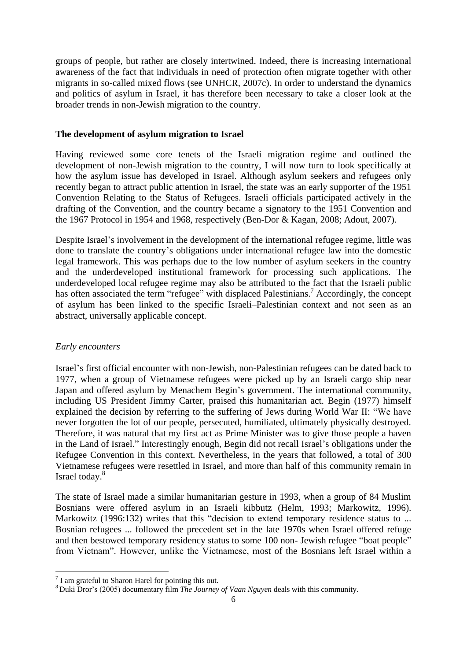groups of people, but rather are closely intertwined. Indeed, there is increasing international awareness of the fact that individuals in need of protection often migrate together with other migrants in so-called mixed flows (see UNHCR, 2007c). In order to understand the dynamics and politics of asylum in Israel, it has therefore been necessary to take a closer look at the broader trends in non-Jewish migration to the country.

### **The development of asylum migration to Israel**

Having reviewed some core tenets of the Israeli migration regime and outlined the development of non-Jewish migration to the country, I will now turn to look specifically at how the asylum issue has developed in Israel. Although asylum seekers and refugees only recently began to attract public attention in Israel, the state was an early supporter of the 1951 Convention Relating to the Status of Refugees. Israeli officials participated actively in the drafting of the Convention, and the country became a signatory to the 1951 Convention and the 1967 Protocol in 1954 and 1968, respectively (Ben-Dor & Kagan, 2008; Adout, 2007).

Despite Israel's involvement in the development of the international refugee regime, little was done to translate the country's obligations under international refugee law into the domestic legal framework. This was perhaps due to the low number of asylum seekers in the country and the underdeveloped institutional framework for processing such applications. The underdeveloped local refugee regime may also be attributed to the fact that the Israeli public has often associated the term "refugee" with displaced Palestinians.<sup>7</sup> Accordingly, the concept of asylum has been linked to the specific Israeli–Palestinian context and not seen as an abstract, universally applicable concept.

#### *Early encounters*

 $\overline{\phantom{a}}$ 

Israel's first official encounter with non-Jewish, non-Palestinian refugees can be dated back to 1977, when a group of Vietnamese refugees were picked up by an Israeli cargo ship near Japan and offered asylum by Menachem Begin's government. The international community, including US President Jimmy Carter, praised this humanitarian act. Begin (1977) himself explained the decision by referring to the suffering of Jews during World War II: "We have never forgotten the lot of our people, persecuted, humiliated, ultimately physically destroyed. Therefore, it was natural that my first act as Prime Minister was to give those people a haven in the Land of Israel." Interestingly enough, Begin did not recall Israel's obligations under the Refugee Convention in this context. Nevertheless, in the years that followed, a total of 300 Vietnamese refugees were resettled in Israel, and more than half of this community remain in Israel today. 8

The state of Israel made a similar humanitarian gesture in 1993, when a group of 84 Muslim Bosnians were offered asylum in an Israeli kibbutz (Helm, 1993; Markowitz, 1996). Markowitz (1996:132) writes that this "decision to extend temporary residence status to ... Bosnian refugees ... followed the precedent set in the late 1970s when Israel offered refuge and then bestowed temporary residency status to some 100 non- Jewish refugee "boat people" from Vietnam". However, unlike the Vietnamese, most of the Bosnians left Israel within a

 $7$  I am grateful to Sharon Harel for pointing this out.

<sup>8</sup> Duki Dror's (2005) documentary film *The Journey of Vaan Nguyen* deals with this community.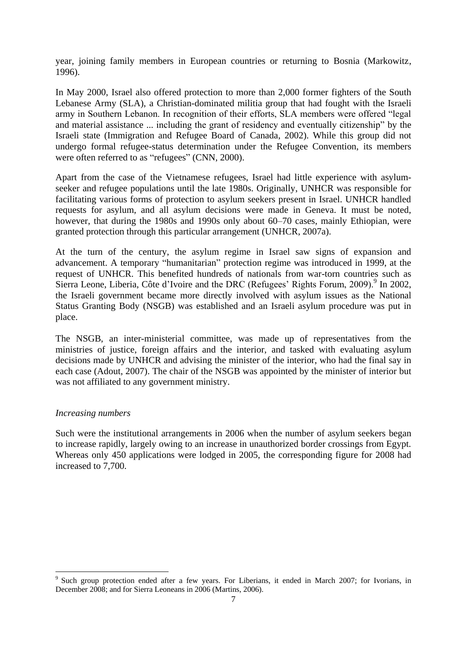year, joining family members in European countries or returning to Bosnia (Markowitz, 1996).

In May 2000, Israel also offered protection to more than 2,000 former fighters of the South Lebanese Army (SLA), a Christian-dominated militia group that had fought with the Israeli army in Southern Lebanon. In recognition of their efforts, SLA members were offered "legal and material assistance ... including the grant of residency and eventually citizenship" by the Israeli state (Immigration and Refugee Board of Canada, 2002). While this group did not undergo formal refugee-status determination under the Refugee Convention, its members were often referred to as "refugees" (CNN, 2000).

Apart from the case of the Vietnamese refugees, Israel had little experience with asylumseeker and refugee populations until the late 1980s. Originally, UNHCR was responsible for facilitating various forms of protection to asylum seekers present in Israel. UNHCR handled requests for asylum, and all asylum decisions were made in Geneva. It must be noted, however, that during the 1980s and 1990s only about 60–70 cases, mainly Ethiopian, were granted protection through this particular arrangement (UNHCR, 2007a).

At the turn of the century, the asylum regime in Israel saw signs of expansion and advancement. A temporary "humanitarian" protection regime was introduced in 1999, at the request of UNHCR. This benefited hundreds of nationals from war-torn countries such as Sierra Leone, Liberia, Côte d'Ivoire and the DRC (Refugees' Rights Forum, 2009).<sup>9</sup> In 2002, the Israeli government became more directly involved with asylum issues as the National Status Granting Body (NSGB) was established and an Israeli asylum procedure was put in place.

The NSGB, an inter-ministerial committee, was made up of representatives from the ministries of justice, foreign affairs and the interior, and tasked with evaluating asylum decisions made by UNHCR and advising the minister of the interior, who had the final say in each case (Adout, 2007). The chair of the NSGB was appointed by the minister of interior but was not affiliated to any government ministry.

### *Increasing numbers*

 $\overline{\phantom{a}}$ 

Such were the institutional arrangements in 2006 when the number of asylum seekers began to increase rapidly, largely owing to an increase in unauthorized border crossings from Egypt. Whereas only 450 applications were lodged in 2005, the corresponding figure for 2008 had increased to 7,700.

<sup>&</sup>lt;sup>9</sup> Such group protection ended after a few years. For Liberians, it ended in March 2007; for Ivorians, in December 2008; and for Sierra Leoneans in 2006 (Martins, 2006).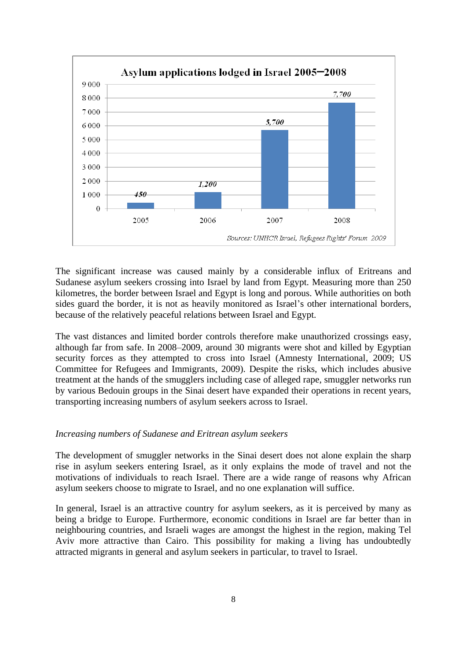

The significant increase was caused mainly by a considerable influx of Eritreans and Sudanese asylum seekers crossing into Israel by land from Egypt. Measuring more than 250 kilometres, the border between Israel and Egypt is long and porous. While authorities on both sides guard the border, it is not as heavily monitored as Israel's other international borders, because of the relatively peaceful relations between Israel and Egypt.

The vast distances and limited border controls therefore make unauthorized crossings easy, although far from safe. In 2008–2009, around 30 migrants were shot and killed by Egyptian security forces as they attempted to cross into Israel (Amnesty International, 2009; US Committee for Refugees and Immigrants, 2009). Despite the risks, which includes abusive treatment at the hands of the smugglers including case of alleged rape, smuggler networks run by various Bedouin groups in the Sinai desert have expanded their operations in recent years, transporting increasing numbers of asylum seekers across to Israel.

### *Increasing numbers of Sudanese and Eritrean asylum seekers*

The development of smuggler networks in the Sinai desert does not alone explain the sharp rise in asylum seekers entering Israel, as it only explains the mode of travel and not the motivations of individuals to reach Israel. There are a wide range of reasons why African asylum seekers choose to migrate to Israel, and no one explanation will suffice.

In general, Israel is an attractive country for asylum seekers, as it is perceived by many as being a bridge to Europe. Furthermore, economic conditions in Israel are far better than in neighbouring countries, and Israeli wages are amongst the highest in the region, making Tel Aviv more attractive than Cairo. This possibility for making a living has undoubtedly attracted migrants in general and asylum seekers in particular, to travel to Israel.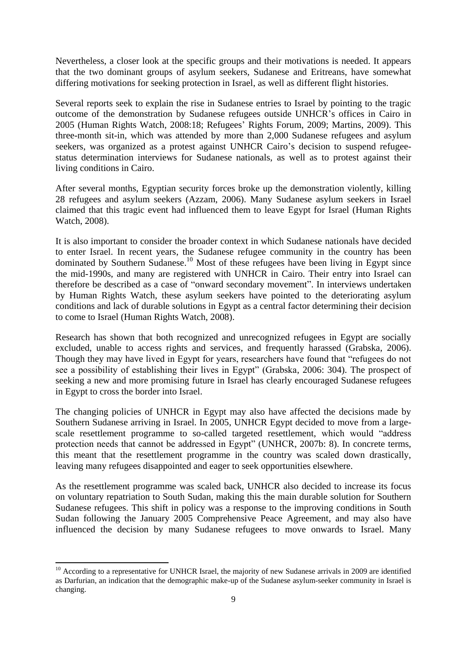Nevertheless, a closer look at the specific groups and their motivations is needed. It appears that the two dominant groups of asylum seekers, Sudanese and Eritreans, have somewhat differing motivations for seeking protection in Israel, as well as different flight histories.

Several reports seek to explain the rise in Sudanese entries to Israel by pointing to the tragic outcome of the demonstration by Sudanese refugees outside UNHCR's offices in Cairo in 2005 (Human Rights Watch, 2008:18; Refugees' Rights Forum, 2009; Martins, 2009). This three-month sit-in, which was attended by more than 2,000 Sudanese refugees and asylum seekers, was organized as a protest against UNHCR Cairo's decision to suspend refugeestatus determination interviews for Sudanese nationals, as well as to protest against their living conditions in Cairo.

After several months, Egyptian security forces broke up the demonstration violently, killing 28 refugees and asylum seekers (Azzam, 2006). Many Sudanese asylum seekers in Israel claimed that this tragic event had influenced them to leave Egypt for Israel (Human Rights Watch, 2008).

It is also important to consider the broader context in which Sudanese nationals have decided to enter Israel. In recent years, the Sudanese refugee community in the country has been dominated by Southern Sudanese.<sup>10</sup> Most of these refugees have been living in Egypt since the mid-1990s, and many are registered with UNHCR in Cairo. Their entry into Israel can therefore be described as a case of "onward secondary movement". In interviews undertaken by Human Rights Watch, these asylum seekers have pointed to the deteriorating asylum conditions and lack of durable solutions in Egypt as a central factor determining their decision to come to Israel (Human Rights Watch, 2008).

Research has shown that both recognized and unrecognized refugees in Egypt are socially excluded, unable to access rights and services, and frequently harassed (Grabska, 2006). Though they may have lived in Egypt for years, researchers have found that "refugees do not see a possibility of establishing their lives in Egypt" (Grabska, 2006: 304). The prospect of seeking a new and more promising future in Israel has clearly encouraged Sudanese refugees in Egypt to cross the border into Israel.

The changing policies of UNHCR in Egypt may also have affected the decisions made by Southern Sudanese arriving in Israel. In 2005, UNHCR Egypt decided to move from a largescale resettlement programme to so-called targeted resettlement, which would "address" protection needs that cannot be addressed in Egypt" (UNHCR, 2007b: 8). In concrete terms, this meant that the resettlement programme in the country was scaled down drastically, leaving many refugees disappointed and eager to seek opportunities elsewhere.

As the resettlement programme was scaled back, UNHCR also decided to increase its focus on voluntary repatriation to South Sudan, making this the main durable solution for Southern Sudanese refugees. This shift in policy was a response to the improving conditions in South Sudan following the January 2005 Comprehensive Peace Agreement, and may also have influenced the decision by many Sudanese refugees to move onwards to Israel. Many

**.** 

<sup>&</sup>lt;sup>10</sup> According to a representative for UNHCR Israel, the majority of new Sudanese arrivals in 2009 are identified as Darfurian, an indication that the demographic make-up of the Sudanese asylum-seeker community in Israel is changing.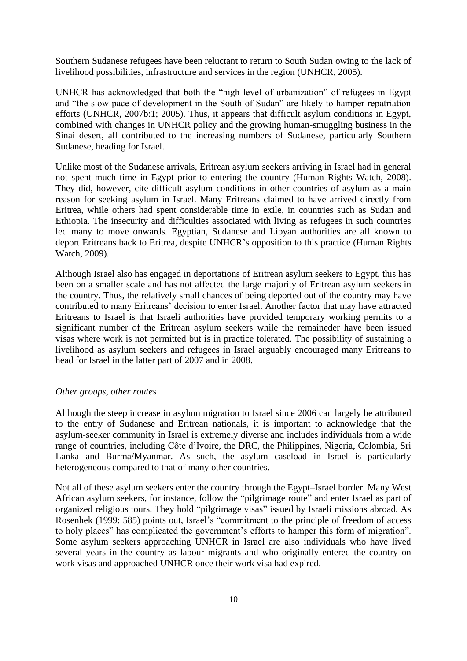Southern Sudanese refugees have been reluctant to return to South Sudan owing to the lack of livelihood possibilities, infrastructure and services in the region (UNHCR, 2005).

UNHCR has acknowledged that both the "high level of urbanization" of refugees in Egypt and "the slow pace of development in the South of Sudan" are likely to hamper repatriation efforts (UNHCR, 2007b:1; 2005). Thus, it appears that difficult asylum conditions in Egypt, combined with changes in UNHCR policy and the growing human-smuggling business in the Sinai desert, all contributed to the increasing numbers of Sudanese, particularly Southern Sudanese, heading for Israel.

Unlike most of the Sudanese arrivals, Eritrean asylum seekers arriving in Israel had in general not spent much time in Egypt prior to entering the country (Human Rights Watch, 2008). They did, however, cite difficult asylum conditions in other countries of asylum as a main reason for seeking asylum in Israel. Many Eritreans claimed to have arrived directly from Eritrea, while others had spent considerable time in exile, in countries such as Sudan and Ethiopia. The insecurity and difficulties associated with living as refugees in such countries led many to move onwards. Egyptian, Sudanese and Libyan authorities are all known to deport Eritreans back to Eritrea, despite UNHCR's opposition to this practice (Human Rights Watch, 2009).

Although Israel also has engaged in deportations of Eritrean asylum seekers to Egypt, this has been on a smaller scale and has not affected the large majority of Eritrean asylum seekers in the country. Thus, the relatively small chances of being deported out of the country may have contributed to many Eritreans' decision to enter Israel. Another factor that may have attracted Eritreans to Israel is that Israeli authorities have provided temporary working permits to a significant number of the Eritrean asylum seekers while the remaineder have been issued visas where work is not permitted but is in practice tolerated. The possibility of sustaining a livelihood as asylum seekers and refugees in Israel arguably encouraged many Eritreans to head for Israel in the latter part of 2007 and in 2008.

### *Other groups, other routes*

Although the steep increase in asylum migration to Israel since 2006 can largely be attributed to the entry of Sudanese and Eritrean nationals, it is important to acknowledge that the asylum-seeker community in Israel is extremely diverse and includes individuals from a wide range of countries, including Côte d'Ivoire, the DRC, the Philippines, Nigeria, Colombia, Sri Lanka and Burma/Myanmar. As such, the asylum caseload in Israel is particularly heterogeneous compared to that of many other countries.

Not all of these asylum seekers enter the country through the Egypt–Israel border. Many West African asylum seekers, for instance, follow the "pilgrimage route" and enter Israel as part of organized religious tours. They hold "pilgrimage visas" issued by Israeli missions abroad. As Rosenhek (1999: 585) points out, Israel's "commitment to the principle of freedom of access to holy places" has complicated the government's efforts to hamper this form of migration". Some asylum seekers approaching UNHCR in Israel are also individuals who have lived several years in the country as labour migrants and who originally entered the country on work visas and approached UNHCR once their work visa had expired.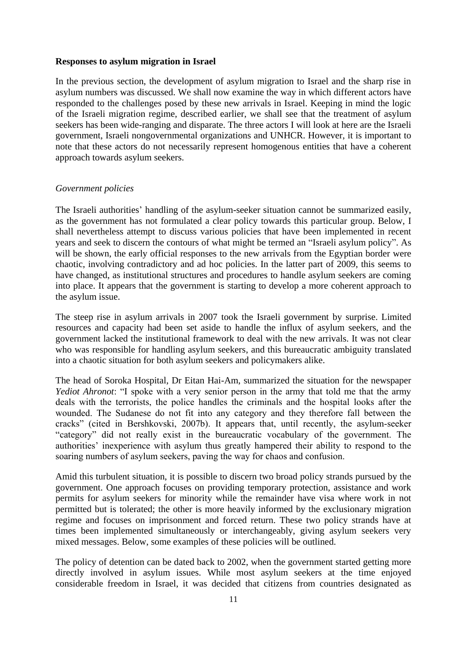#### **Responses to asylum migration in Israel**

In the previous section, the development of asylum migration to Israel and the sharp rise in asylum numbers was discussed. We shall now examine the way in which different actors have responded to the challenges posed by these new arrivals in Israel. Keeping in mind the logic of the Israeli migration regime, described earlier, we shall see that the treatment of asylum seekers has been wide-ranging and disparate. The three actors I will look at here are the Israeli government, Israeli nongovernmental organizations and UNHCR. However, it is important to note that these actors do not necessarily represent homogenous entities that have a coherent approach towards asylum seekers.

#### *Government policies*

The Israeli authorities' handling of the asylum-seeker situation cannot be summarized easily, as the government has not formulated a clear policy towards this particular group. Below, I shall nevertheless attempt to discuss various policies that have been implemented in recent years and seek to discern the contours of what might be termed an "Israeli asylum policy". As will be shown, the early official responses to the new arrivals from the Egyptian border were chaotic, involving contradictory and ad hoc policies. In the latter part of 2009, this seems to have changed, as institutional structures and procedures to handle asylum seekers are coming into place. It appears that the government is starting to develop a more coherent approach to the asylum issue.

The steep rise in asylum arrivals in 2007 took the Israeli government by surprise. Limited resources and capacity had been set aside to handle the influx of asylum seekers, and the government lacked the institutional framework to deal with the new arrivals. It was not clear who was responsible for handling asylum seekers, and this bureaucratic ambiguity translated into a chaotic situation for both asylum seekers and policymakers alike.

The head of Soroka Hospital, Dr Eitan Hai-Am, summarized the situation for the newspaper *Yediot Ahronot*: "I spoke with a very senior person in the army that told me that the army deals with the terrorists, the police handles the criminals and the hospital looks after the wounded. The Sudanese do not fit into any category and they therefore fall between the cracks" (cited in Bershkovski, 2007b). It appears that, until recently, the asylum-seeker "category" did not really exist in the bureaucratic vocabulary of the government. The authorities' inexperience with asylum thus greatly hampered their ability to respond to the soaring numbers of asylum seekers, paving the way for chaos and confusion.

Amid this turbulent situation, it is possible to discern two broad policy strands pursued by the government. One approach focuses on providing temporary protection, assistance and work permits for asylum seekers for minority while the remainder have visa where work in not permitted but is tolerated; the other is more heavily informed by the exclusionary migration regime and focuses on imprisonment and forced return. These two policy strands have at times been implemented simultaneously or interchangeably, giving asylum seekers very mixed messages. Below, some examples of these policies will be outlined.

The policy of detention can be dated back to 2002, when the government started getting more directly involved in asylum issues. While most asylum seekers at the time enjoyed considerable freedom in Israel, it was decided that citizens from countries designated as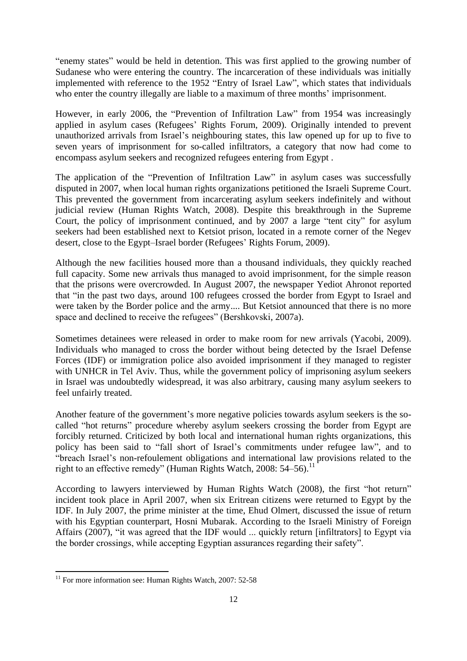"enemy states" would be held in detention. This was first applied to the growing number of Sudanese who were entering the country. The incarceration of these individuals was initially implemented with reference to the 1952 "Entry of Israel Law", which states that individuals who enter the country illegally are liable to a maximum of three months' imprisonment.

However, in early 2006, the "Prevention of Infiltration Law" from 1954 was increasingly applied in asylum cases (Refugees' Rights Forum, 2009). Originally intended to prevent unauthorized arrivals from Israel's neighbouring states, this law opened up for up to five to seven years of imprisonment for so-called infiltrators, a category that now had come to encompass asylum seekers and recognized refugees entering from Egypt .

The application of the "Prevention of Infiltration Law" in asylum cases was successfully disputed in 2007, when local human rights organizations petitioned the Israeli Supreme Court. This prevented the government from incarcerating asylum seekers indefinitely and without judicial review (Human Rights Watch, 2008). Despite this breakthrough in the Supreme Court, the policy of imprisonment continued, and by 2007 a large "tent city" for asylum seekers had been established next to Ketsiot prison, located in a remote corner of the Negev desert, close to the Egypt–Israel border (Refugees' Rights Forum, 2009).

Although the new facilities housed more than a thousand individuals, they quickly reached full capacity. Some new arrivals thus managed to avoid imprisonment, for the simple reason that the prisons were overcrowded. In August 2007, the newspaper Yediot Ahronot reported that "in the past two days, around 100 refugees crossed the border from Egypt to Israel and were taken by the Border police and the army.... But Ketsiot announced that there is no more space and declined to receive the refugees" (Bershkovski, 2007a).

Sometimes detainees were released in order to make room for new arrivals (Yacobi, 2009). Individuals who managed to cross the border without being detected by the Israel Defense Forces (IDF) or immigration police also avoided imprisonment if they managed to register with UNHCR in Tel Aviv. Thus, while the government policy of imprisoning asylum seekers in Israel was undoubtedly widespread, it was also arbitrary, causing many asylum seekers to feel unfairly treated.

Another feature of the government's more negative policies towards asylum seekers is the socalled "hot returns" procedure whereby asylum seekers crossing the border from Egypt are forcibly returned. Criticized by both local and international human rights organizations, this policy has been said to "fall short of Israel's commitments under refugee law", and to "breach Israel's non-refoulement obligations and international law provisions related to the right to an effective remedy" (Human Rights Watch, 2008: 54–56).<sup>11</sup>

According to lawyers interviewed by Human Rights Watch (2008), the first "hot return" incident took place in April 2007, when six Eritrean citizens were returned to Egypt by the IDF. In July 2007, the prime minister at the time, Ehud Olmert, discussed the issue of return with his Egyptian counterpart, Hosni Mubarak. According to the Israeli Ministry of Foreign Affairs (2007), "it was agreed that the IDF would ... quickly return [infiltrators] to Egypt via the border crossings, while accepting Egyptian assurances regarding their safety".

**.** 

 $11$  For more information see: Human Rights Watch, 2007: 52-58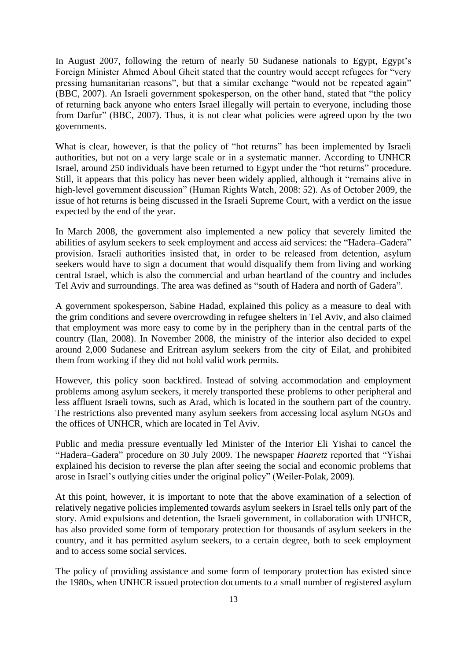In August 2007, following the return of nearly 50 Sudanese nationals to Egypt, Egypt's Foreign Minister Ahmed Aboul Gheit stated that the country would accept refugees for "very" pressing humanitarian reasons", but that a similar exchange "would not be repeated again" (BBC, 2007). An Israeli government spokesperson, on the other hand, stated that "the policy" of returning back anyone who enters Israel illegally will pertain to everyone, including those from Darfur" (BBC, 2007). Thus, it is not clear what policies were agreed upon by the two governments.

What is clear, however, is that the policy of "hot returns" has been implemented by Israeli authorities, but not on a very large scale or in a systematic manner. According to UNHCR Israel, around 250 individuals have been returned to Egypt under the "hot returns" procedure. Still, it appears that this policy has never been widely applied, although it "remains alive in high-level government discussion" (Human Rights Watch, 2008: 52). As of October 2009, the issue of hot returns is being discussed in the Israeli Supreme Court, with a verdict on the issue expected by the end of the year.

In March 2008, the government also implemented a new policy that severely limited the abilities of asylum seekers to seek employment and access aid services: the "Hadera–Gadera" provision. Israeli authorities insisted that, in order to be released from detention, asylum seekers would have to sign a document that would disqualify them from living and working central Israel, which is also the commercial and urban heartland of the country and includes Tel Aviv and surroundings. The area was defined as "south of Hadera and north of Gadera".

A government spokesperson, Sabine Hadad, explained this policy as a measure to deal with the grim conditions and severe overcrowding in refugee shelters in Tel Aviv, and also claimed that employment was more easy to come by in the periphery than in the central parts of the country (Ilan, 2008). In November 2008, the ministry of the interior also decided to expel around 2,000 Sudanese and Eritrean asylum seekers from the city of Eilat, and prohibited them from working if they did not hold valid work permits.

However, this policy soon backfired. Instead of solving accommodation and employment problems among asylum seekers, it merely transported these problems to other peripheral and less affluent Israeli towns, such as Arad, which is located in the southern part of the country. The restrictions also prevented many asylum seekers from accessing local asylum NGOs and the offices of UNHCR, which are located in Tel Aviv.

Public and media pressure eventually led Minister of the Interior Eli Yishai to cancel the "Hadera–Gadera" procedure on 30 July 2009. The newspaper *Haaretz* reported that "Yishai" explained his decision to reverse the plan after seeing the social and economic problems that arose in Israel's outlying cities under the original policy" (Weiler-Polak, 2009).

At this point, however, it is important to note that the above examination of a selection of relatively negative policies implemented towards asylum seekers in Israel tells only part of the story. Amid expulsions and detention, the Israeli government, in collaboration with UNHCR, has also provided some form of temporary protection for thousands of asylum seekers in the country, and it has permitted asylum seekers, to a certain degree, both to seek employment and to access some social services.

The policy of providing assistance and some form of temporary protection has existed since the 1980s, when UNHCR issued protection documents to a small number of registered asylum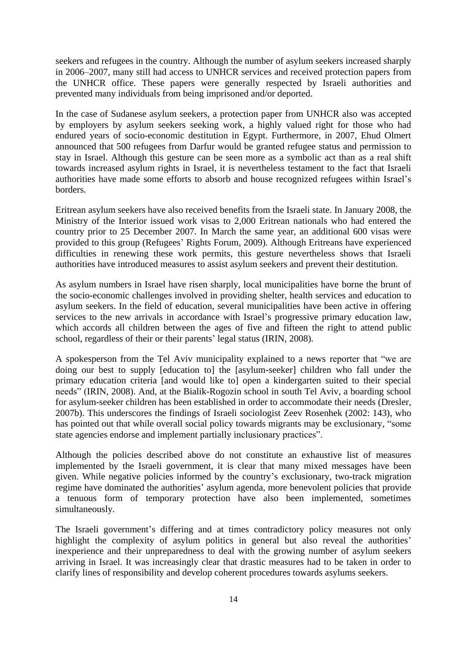seekers and refugees in the country. Although the number of asylum seekers increased sharply in 2006–2007, many still had access to UNHCR services and received protection papers from the UNHCR office. These papers were generally respected by Israeli authorities and prevented many individuals from being imprisoned and/or deported.

In the case of Sudanese asylum seekers, a protection paper from UNHCR also was accepted by employers by asylum seekers seeking work, a highly valued right for those who had endured years of socio-economic destitution in Egypt. Furthermore, in 2007, Ehud Olmert announced that 500 refugees from Darfur would be granted refugee status and permission to stay in Israel. Although this gesture can be seen more as a symbolic act than as a real shift towards increased asylum rights in Israel, it is nevertheless testament to the fact that Israeli authorities have made some efforts to absorb and house recognized refugees within Israel's borders.

Eritrean asylum seekers have also received benefits from the Israeli state. In January 2008, the Ministry of the Interior issued work visas to 2,000 Eritrean nationals who had entered the country prior to 25 December 2007. In March the same year, an additional 600 visas were provided to this group (Refugees' Rights Forum, 2009). Although Eritreans have experienced difficulties in renewing these work permits, this gesture nevertheless shows that Israeli authorities have introduced measures to assist asylum seekers and prevent their destitution.

As asylum numbers in Israel have risen sharply, local municipalities have borne the brunt of the socio-economic challenges involved in providing shelter, health services and education to asylum seekers. In the field of education, several municipalities have been active in offering services to the new arrivals in accordance with Israel's progressive primary education law, which accords all children between the ages of five and fifteen the right to attend public school, regardless of their or their parents' legal status (IRIN, 2008).

A spokesperson from the Tel Aviv municipality explained to a news reporter that "we are doing our best to supply [education to] the [asylum-seeker] children who fall under the primary education criteria [and would like to] open a kindergarten suited to their special needs" (IRIN, 2008). And, at the Bialik-Rogozin school in south Tel Aviv, a boarding school for asylum-seeker children has been established in order to accommodate their needs (Dresler, 2007b). This underscores the findings of Israeli sociologist Zeev Rosenhek (2002: 143), who has pointed out that while overall social policy towards migrants may be exclusionary, "some state agencies endorse and implement partially inclusionary practices".

Although the policies described above do not constitute an exhaustive list of measures implemented by the Israeli government, it is clear that many mixed messages have been given. While negative policies informed by the country's exclusionary, two-track migration regime have dominated the authorities' asylum agenda, more benevolent policies that provide a tenuous form of temporary protection have also been implemented, sometimes simultaneously.

The Israeli government's differing and at times contradictory policy measures not only highlight the complexity of asylum politics in general but also reveal the authorities' inexperience and their unpreparedness to deal with the growing number of asylum seekers arriving in Israel. It was increasingly clear that drastic measures had to be taken in order to clarify lines of responsibility and develop coherent procedures towards asylums seekers.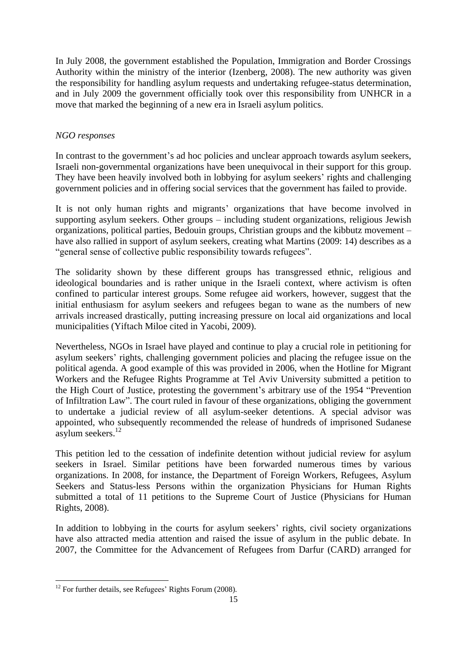In July 2008, the government established the Population, Immigration and Border Crossings Authority within the ministry of the interior (Izenberg, 2008). The new authority was given the responsibility for handling asylum requests and undertaking refugee-status determination, and in July 2009 the government officially took over this responsibility from UNHCR in a move that marked the beginning of a new era in Israeli asylum politics.

## *NGO responses*

In contrast to the government's ad hoc policies and unclear approach towards asylum seekers, Israeli non-governmental organizations have been unequivocal in their support for this group. They have been heavily involved both in lobbying for asylum seekers' rights and challenging government policies and in offering social services that the government has failed to provide.

It is not only human rights and migrants' organizations that have become involved in supporting asylum seekers. Other groups – including student organizations, religious Jewish organizations, political parties, Bedouin groups, Christian groups and the kibbutz movement – have also rallied in support of asylum seekers, creating what Martins (2009: 14) describes as a "general sense of collective public responsibility towards refugees".

The solidarity shown by these different groups has transgressed ethnic, religious and ideological boundaries and is rather unique in the Israeli context, where activism is often confined to particular interest groups. Some refugee aid workers, however, suggest that the initial enthusiasm for asylum seekers and refugees began to wane as the numbers of new arrivals increased drastically, putting increasing pressure on local aid organizations and local municipalities (Yiftach Miloe cited in Yacobi, 2009).

Nevertheless, NGOs in Israel have played and continue to play a crucial role in petitioning for asylum seekers' rights, challenging government policies and placing the refugee issue on the political agenda. A good example of this was provided in 2006, when the Hotline for Migrant Workers and the Refugee Rights Programme at Tel Aviv University submitted a petition to the High Court of Justice, protesting the government's arbitrary use of the 1954 "Prevention of Infiltration Law". The court ruled in favour of these organizations, obliging the government to undertake a judicial review of all asylum-seeker detentions. A special advisor was appointed, who subsequently recommended the release of hundreds of imprisoned Sudanese asylum seekers. $^{12}$ 

This petition led to the cessation of indefinite detention without judicial review for asylum seekers in Israel. Similar petitions have been forwarded numerous times by various organizations. In 2008, for instance, the Department of Foreign Workers, Refugees, Asylum Seekers and Status-less Persons within the organization Physicians for Human Rights submitted a total of 11 petitions to the Supreme Court of Justice (Physicians for Human Rights, 2008).

In addition to lobbying in the courts for asylum seekers' rights, civil society organizations have also attracted media attention and raised the issue of asylum in the public debate. In 2007, the Committee for the Advancement of Refugees from Darfur (CARD) arranged for

<sup>1</sup>  $12$  For further details, see Refugees' Rights Forum (2008).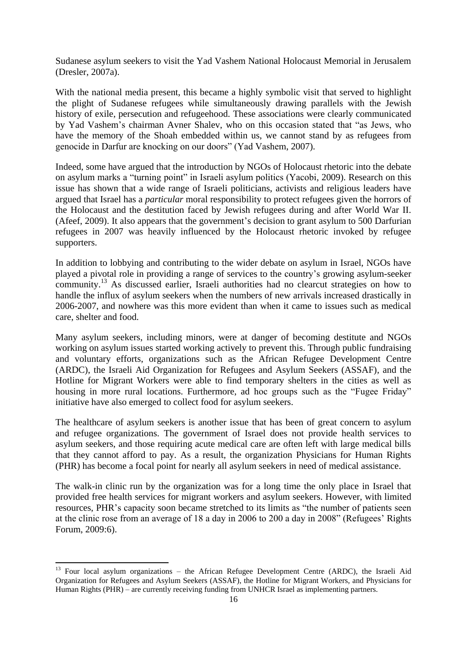Sudanese asylum seekers to visit the Yad Vashem National Holocaust Memorial in Jerusalem (Dresler, 2007a).

With the national media present, this became a highly symbolic visit that served to highlight the plight of Sudanese refugees while simultaneously drawing parallels with the Jewish history of exile, persecution and refugeehood. These associations were clearly communicated by Yad Vashem's chairman Avner Shalev, who on this occasion stated that "as Jews, who have the memory of the Shoah embedded within us, we cannot stand by as refugees from genocide in Darfur are knocking on our doors" (Yad Vashem, 2007).

Indeed, some have argued that the introduction by NGOs of Holocaust rhetoric into the debate on asylum marks a "turning point" in Israeli asylum politics (Yacobi, 2009). Research on this issue has shown that a wide range of Israeli politicians, activists and religious leaders have argued that Israel has a *particular* moral responsibility to protect refugees given the horrors of the Holocaust and the destitution faced by Jewish refugees during and after World War II. (Afeef, 2009). It also appears that the government's decision to grant asylum to 500 Darfurian refugees in 2007 was heavily influenced by the Holocaust rhetoric invoked by refugee supporters.

In addition to lobbying and contributing to the wider debate on asylum in Israel, NGOs have played a pivotal role in providing a range of services to the country's growing asylum-seeker community.<sup>13</sup> As discussed earlier, Israeli authorities had no clearcut strategies on how to handle the influx of asylum seekers when the numbers of new arrivals increased drastically in 2006-2007, and nowhere was this more evident than when it came to issues such as medical care, shelter and food.

Many asylum seekers, including minors, were at danger of becoming destitute and NGOs working on asylum issues started working actively to prevent this. Through public fundraising and voluntary efforts, organizations such as the African Refugee Development Centre (ARDC), the Israeli Aid Organization for Refugees and Asylum Seekers (ASSAF), and the Hotline for Migrant Workers were able to find temporary shelters in the cities as well as housing in more rural locations. Furthermore, ad hoc groups such as the "Fugee Friday" initiative have also emerged to collect food for asylum seekers.

The healthcare of asylum seekers is another issue that has been of great concern to asylum and refugee organizations. The government of Israel does not provide health services to asylum seekers, and those requiring acute medical care are often left with large medical bills that they cannot afford to pay. As a result, the organization Physicians for Human Rights (PHR) has become a focal point for nearly all asylum seekers in need of medical assistance.

The walk-in clinic run by the organization was for a long time the only place in Israel that provided free health services for migrant workers and asylum seekers. However, with limited resources, PHR's capacity soon became stretched to its limits as "the number of patients seen at the clinic rose from an average of 18 a day in 2006 to 200 a day in 2008" (Refugees' Rights Forum, 2009:6).

**.** 

<sup>&</sup>lt;sup>13</sup> Four local asylum organizations – the African Refugee Development Centre (ARDC), the Israeli Aid Organization for Refugees and Asylum Seekers (ASSAF), the Hotline for Migrant Workers, and Physicians for Human Rights (PHR) – are currently receiving funding from UNHCR Israel as implementing partners.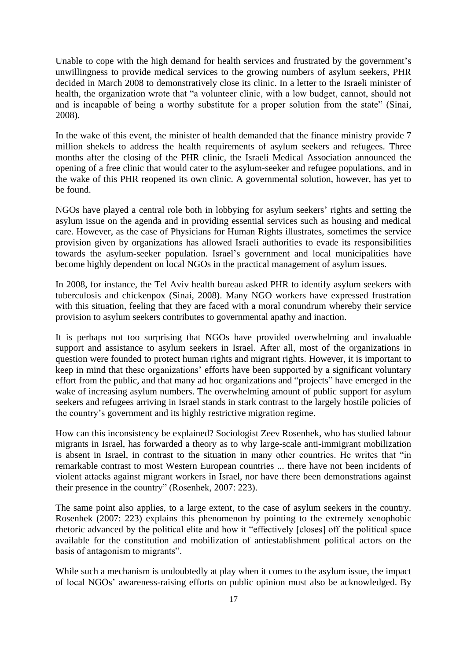Unable to cope with the high demand for health services and frustrated by the government's unwillingness to provide medical services to the growing numbers of asylum seekers, PHR decided in March 2008 to demonstratively close its clinic. In a letter to the Israeli minister of health, the organization wrote that "a volunteer clinic, with a low budget, cannot, should not and is incapable of being a worthy substitute for a proper solution from the state" (Sinai, 2008).

In the wake of this event, the minister of health demanded that the finance ministry provide 7 million shekels to address the health requirements of asylum seekers and refugees. Three months after the closing of the PHR clinic, the Israeli Medical Association announced the opening of a free clinic that would cater to the asylum-seeker and refugee populations, and in the wake of this PHR reopened its own clinic. A governmental solution, however, has yet to be found.

NGOs have played a central role both in lobbying for asylum seekers' rights and setting the asylum issue on the agenda and in providing essential services such as housing and medical care. However, as the case of Physicians for Human Rights illustrates, sometimes the service provision given by organizations has allowed Israeli authorities to evade its responsibilities towards the asylum-seeker population. Israel's government and local municipalities have become highly dependent on local NGOs in the practical management of asylum issues.

In 2008, for instance, the Tel Aviv health bureau asked PHR to identify asylum seekers with tuberculosis and chickenpox (Sinai, 2008). Many NGO workers have expressed frustration with this situation, feeling that they are faced with a moral conundrum whereby their service provision to asylum seekers contributes to governmental apathy and inaction.

It is perhaps not too surprising that NGOs have provided overwhelming and invaluable support and assistance to asylum seekers in Israel. After all, most of the organizations in question were founded to protect human rights and migrant rights. However, it is important to keep in mind that these organizations' efforts have been supported by a significant voluntary effort from the public, and that many ad hoc organizations and "projects" have emerged in the wake of increasing asylum numbers. The overwhelming amount of public support for asylum seekers and refugees arriving in Israel stands in stark contrast to the largely hostile policies of the country's government and its highly restrictive migration regime.

How can this inconsistency be explained? Sociologist Zeev Rosenhek, who has studied labour migrants in Israel, has forwarded a theory as to why large-scale anti-immigrant mobilization is absent in Israel, in contrast to the situation in many other countries. He writes that "in remarkable contrast to most Western European countries ... there have not been incidents of violent attacks against migrant workers in Israel, nor have there been demonstrations against their presence in the country" (Rosenhek, 2007: 223).

The same point also applies, to a large extent, to the case of asylum seekers in the country. Rosenhek (2007: 223) explains this phenomenon by pointing to the extremely xenophobic rhetoric advanced by the political elite and how it "effectively [closes] off the political space available for the constitution and mobilization of antiestablishment political actors on the basis of antagonism to migrants".

While such a mechanism is undoubtedly at play when it comes to the asylum issue, the impact of local NGOs' awareness-raising efforts on public opinion must also be acknowledged. By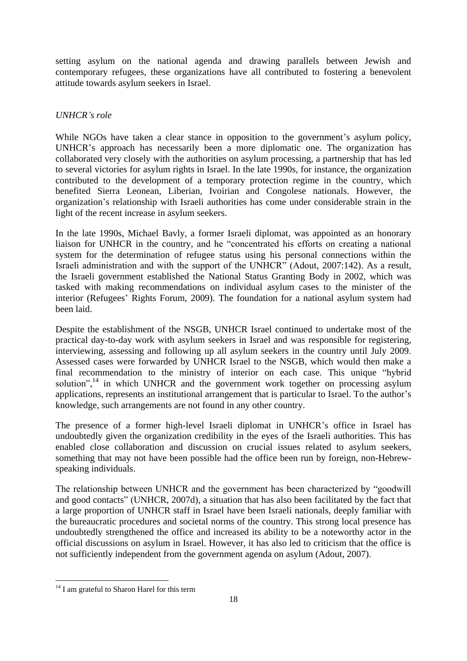setting asylum on the national agenda and drawing parallels between Jewish and contemporary refugees, these organizations have all contributed to fostering a benevolent attitude towards asylum seekers in Israel.

## *UNHCR's role*

While NGOs have taken a clear stance in opposition to the government's asylum policy, UNHCR's approach has necessarily been a more diplomatic one. The organization has collaborated very closely with the authorities on asylum processing, a partnership that has led to several victories for asylum rights in Israel. In the late 1990s, for instance, the organization contributed to the development of a temporary protection regime in the country, which benefited Sierra Leonean, Liberian, Ivoirian and Congolese nationals. However, the organization's relationship with Israeli authorities has come under considerable strain in the light of the recent increase in asylum seekers.

In the late 1990s, Michael Bavly, a former Israeli diplomat, was appointed as an honorary liaison for UNHCR in the country, and he "concentrated his efforts on creating a national system for the determination of refugee status using his personal connections within the Israeli administration and with the support of the UNHCR<sup></sup> (Adout, 2007:142). As a result, the Israeli government established the National Status Granting Body in 2002, which was tasked with making recommendations on individual asylum cases to the minister of the interior (Refugees' Rights Forum, 2009). The foundation for a national asylum system had been laid.

Despite the establishment of the NSGB, UNHCR Israel continued to undertake most of the practical day-to-day work with asylum seekers in Israel and was responsible for registering, interviewing, assessing and following up all asylum seekers in the country until July 2009. Assessed cases were forwarded by UNHCR Israel to the NSGB, which would then make a final recommendation to the ministry of interior on each case. This unique "hybrid solution",<sup>14</sup> in which UNHCR and the government work together on processing asylum applications, represents an institutional arrangement that is particular to Israel. To the author's knowledge, such arrangements are not found in any other country.

The presence of a former high-level Israeli diplomat in UNHCR's office in Israel has undoubtedly given the organization credibility in the eyes of the Israeli authorities. This has enabled close collaboration and discussion on crucial issues related to asylum seekers, something that may not have been possible had the office been run by foreign, non-Hebrewspeaking individuals.

The relationship between UNHCR and the government has been characterized by "goodwill" and good contacts" (UNHCR, 2007d), a situation that has also been facilitated by the fact that a large proportion of UNHCR staff in Israel have been Israeli nationals, deeply familiar with the bureaucratic procedures and societal norms of the country. This strong local presence has undoubtedly strengthened the office and increased its ability to be a noteworthy actor in the official discussions on asylum in Israel. However, it has also led to criticism that the office is not sufficiently independent from the government agenda on asylum (Adout, 2007).

1

<sup>&</sup>lt;sup>14</sup> I am grateful to Sharon Harel for this term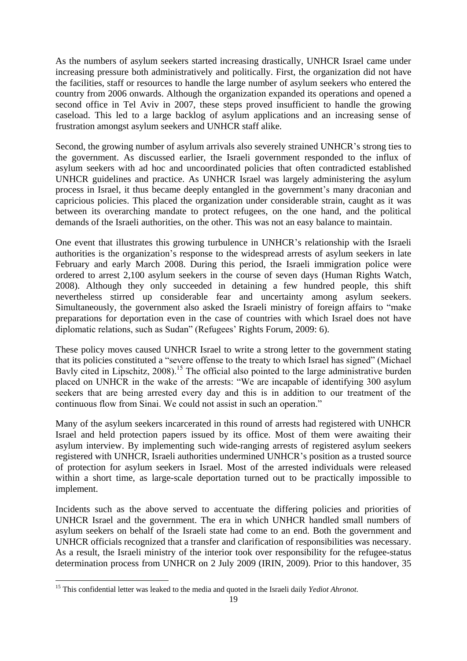As the numbers of asylum seekers started increasing drastically, UNHCR Israel came under increasing pressure both administratively and politically. First, the organization did not have the facilities, staff or resources to handle the large number of asylum seekers who entered the country from 2006 onwards. Although the organization expanded its operations and opened a second office in Tel Aviv in 2007, these steps proved insufficient to handle the growing caseload. This led to a large backlog of asylum applications and an increasing sense of frustration amongst asylum seekers and UNHCR staff alike.

Second, the growing number of asylum arrivals also severely strained UNHCR's strong ties to the government. As discussed earlier, the Israeli government responded to the influx of asylum seekers with ad hoc and uncoordinated policies that often contradicted established UNHCR guidelines and practice. As UNHCR Israel was largely administering the asylum process in Israel, it thus became deeply entangled in the government's many draconian and capricious policies. This placed the organization under considerable strain, caught as it was between its overarching mandate to protect refugees, on the one hand, and the political demands of the Israeli authorities, on the other. This was not an easy balance to maintain.

One event that illustrates this growing turbulence in UNHCR's relationship with the Israeli authorities is the organization's response to the widespread arrests of asylum seekers in late February and early March 2008. During this period, the Israeli immigration police were ordered to arrest 2,100 asylum seekers in the course of seven days (Human Rights Watch, 2008). Although they only succeeded in detaining a few hundred people, this shift nevertheless stirred up considerable fear and uncertainty among asylum seekers. Simultaneously, the government also asked the Israeli ministry of foreign affairs to "make" preparations for deportation even in the case of countries with which Israel does not have diplomatic relations, such as Sudan" (Refugees' Rights Forum, 2009: 6).

These policy moves caused UNHCR Israel to write a strong letter to the government stating that its policies constituted a "severe offense to the treaty to which Israel has signed" (Michael Bavly cited in Lipschitz, 2008).<sup>15</sup> The official also pointed to the large administrative burden placed on UNHCR in the wake of the arrests: "We are incapable of identifying 300 asylum seekers that are being arrested every day and this is in addition to our treatment of the continuous flow from Sinai. We could not assist in such an operation."

Many of the asylum seekers incarcerated in this round of arrests had registered with UNHCR Israel and held protection papers issued by its office. Most of them were awaiting their asylum interview. By implementing such wide-ranging arrests of registered asylum seekers registered with UNHCR, Israeli authorities undermined UNHCR's position as a trusted source of protection for asylum seekers in Israel. Most of the arrested individuals were released within a short time, as large-scale deportation turned out to be practically impossible to implement.

Incidents such as the above served to accentuate the differing policies and priorities of UNHCR Israel and the government. The era in which UNHCR handled small numbers of asylum seekers on behalf of the Israeli state had come to an end. Both the government and UNHCR officials recognized that a transfer and clarification of responsibilities was necessary. As a result, the Israeli ministry of the interior took over responsibility for the refugee-status determination process from UNHCR on 2 July 2009 (IRIN, 2009). Prior to this handover, 35

1

<sup>15</sup> This confidential letter was leaked to the media and quoted in the Israeli daily *Yediot Ahronot*.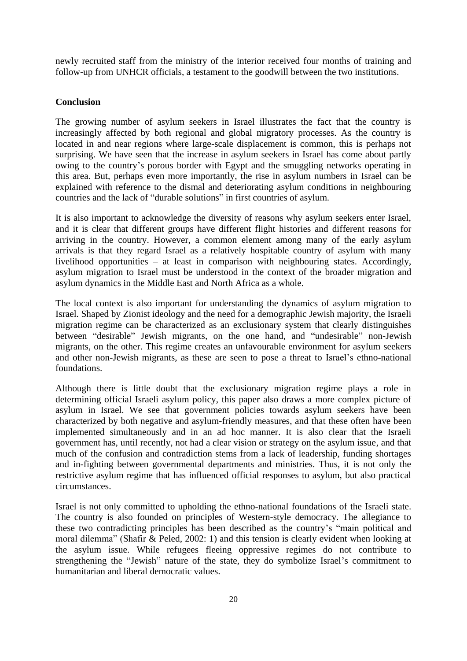newly recruited staff from the ministry of the interior received four months of training and follow-up from UNHCR officials, a testament to the goodwill between the two institutions.

## **Conclusion**

The growing number of asylum seekers in Israel illustrates the fact that the country is increasingly affected by both regional and global migratory processes. As the country is located in and near regions where large-scale displacement is common, this is perhaps not surprising. We have seen that the increase in asylum seekers in Israel has come about partly owing to the country's porous border with Egypt and the smuggling networks operating in this area. But, perhaps even more importantly, the rise in asylum numbers in Israel can be explained with reference to the dismal and deteriorating asylum conditions in neighbouring countries and the lack of "durable solutions" in first countries of asylum.

It is also important to acknowledge the diversity of reasons why asylum seekers enter Israel, and it is clear that different groups have different flight histories and different reasons for arriving in the country. However, a common element among many of the early asylum arrivals is that they regard Israel as a relatively hospitable country of asylum with many livelihood opportunities – at least in comparison with neighbouring states. Accordingly, asylum migration to Israel must be understood in the context of the broader migration and asylum dynamics in the Middle East and North Africa as a whole.

The local context is also important for understanding the dynamics of asylum migration to Israel. Shaped by Zionist ideology and the need for a demographic Jewish majority, the Israeli migration regime can be characterized as an exclusionary system that clearly distinguishes between "desirable" Jewish migrants, on the one hand, and "undesirable" non-Jewish migrants, on the other. This regime creates an unfavourable environment for asylum seekers and other non-Jewish migrants, as these are seen to pose a threat to Israel's ethno-national foundations.

Although there is little doubt that the exclusionary migration regime plays a role in determining official Israeli asylum policy, this paper also draws a more complex picture of asylum in Israel. We see that government policies towards asylum seekers have been characterized by both negative and asylum-friendly measures, and that these often have been implemented simultaneously and in an ad hoc manner. It is also clear that the Israeli government has, until recently, not had a clear vision or strategy on the asylum issue, and that much of the confusion and contradiction stems from a lack of leadership, funding shortages and in-fighting between governmental departments and ministries. Thus, it is not only the restrictive asylum regime that has influenced official responses to asylum, but also practical circumstances.

Israel is not only committed to upholding the ethno-national foundations of the Israeli state. The country is also founded on principles of Western-style democracy. The allegiance to these two contradicting principles has been described as the country's "main political and moral dilemma" (Shafir & Peled, 2002: 1) and this tension is clearly evident when looking at the asylum issue. While refugees fleeing oppressive regimes do not contribute to strengthening the "Jewish" nature of the state, they do symbolize Israel's commitment to humanitarian and liberal democratic values.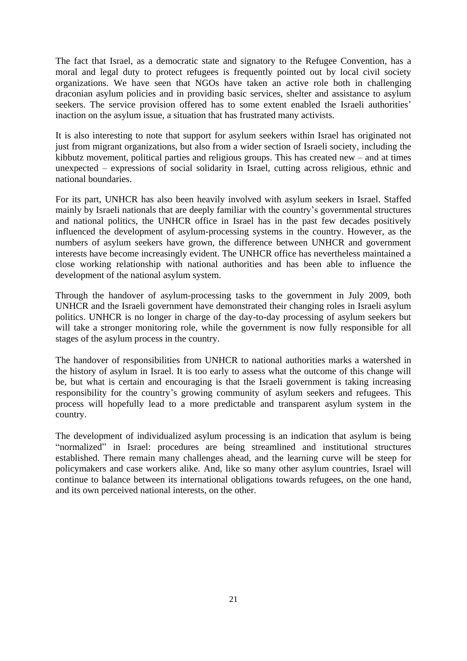The fact that Israel, as a democratic state and signatory to the Refugee Convention, has a moral and legal duty to protect refugees is frequently pointed out by local civil society organizations. We have seen that NGOs have taken an active role both in challenging draconian asylum policies and in providing basic services, shelter and assistance to asylum seekers. The service provision offered has to some extent enabled the Israeli authorities' inaction on the asylum issue, a situation that has frustrated many activists.

It is also interesting to note that support for asylum seekers within Israel has originated not just from migrant organizations, but also from a wider section of Israeli society, including the kibbutz movement, political parties and religious groups. This has created new  $-$  and at times unexpected – expressions of social solidarity in Israel, cutting across religious, ethnic and national boundaries.

For its part, UNHCR has also been heavily involved with asylum seekers in Israel. Staffed mainly by Israeli nationals that are deeply familiar with the country's governmental structures and national politics, the UNHCR office in Israel has in the past few decades positively influenced the development of asylum-processing systems in the country. However, as the numbers of asylum seekers have grown, the difference between UNHCR and government interests have become increasingly evident. The UNHCR office has nevertheless maintained a close working relationship with national authorities and has been able to influence the development of the national asylum system.

Through the handover of asylum-processing tasks to the government in July 2009, both UNHCR and the Israeli government have demonstrated their changing roles in Israeli asylum politics. UNHCR is no longer in charge of the day-to-day processing of asylum seekers but will take a stronger monitoring role, while the government is now fully responsible for all stages of the asylum process in the country.

The handover of responsibilities from UNHCR to national authorities marks a watershed in the history of asylum in Israel. It is too early to assess what the outcome of this change will be, but what is certain and encouraging is that the Israeli government is taking increasing responsibility for the country's growing community of asylum seekers and refugees. This process will hopefully lead to a more predictable and transparent asylum system in the country.

The development of individualized asylum processing is an indication that asylum is being "normalized" in Israel: procedures are being streamlined and institutional structures established. There remain many challenges ahead, and the learning curve will be steep for policymakers and case workers alike. And, like so many other asylum countries, Israel will continue to balance between its international obligations towards refugees, on the one hand, and its own perceived national interests, on the other.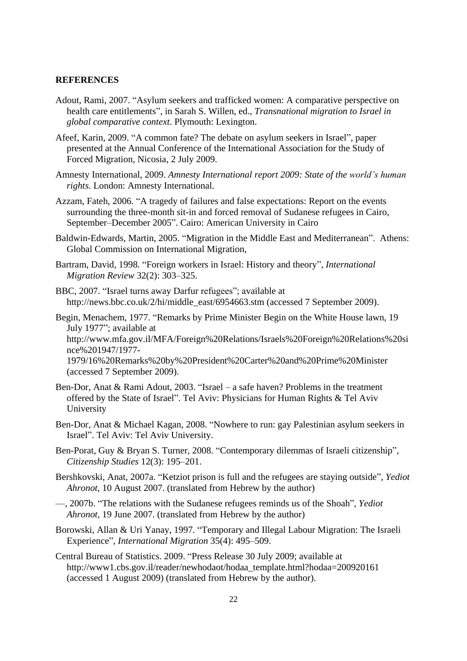#### **REFERENCES**

- Adout, Rami, 2007. "Asylum seekers and trafficked women: A comparative perspective on health care entitlements", in Sarah S. Willen, ed., *Transnational migration to Israel in global comparative context*. Plymouth: Lexington.
- Afeef, Karin, 2009. "A common fate? The debate on asylum seekers in Israel", paper presented at the Annual Conference of the International Association for the Study of Forced Migration, Nicosia, 2 July 2009.
- Amnesty International, 2009. *Amnesty International report 2009: State of the world's human rights.* London: Amnesty International.
- Azzam, Fateh, 2006. "A tragedy of failures and false expectations: Report on the events surrounding the three-month sit-in and forced removal of Sudanese refugees in Cairo, September–December 2005". Cairo: American University in Cairo
- Baldwin-Edwards, Martin, 2005. "Migration in the Middle East and Mediterranean". Athens: Global Commission on International Migration,
- Bartram, David, 1998. "Foreign workers in Israel: History and theory", *International Migration Review* 32(2): 303–325.
- BBC, 2007. "Israel turns away Darfur refugees"; available at http://news.bbc.co.uk/2/hi/middle\_east/6954663.stm (accessed 7 September 2009).
- Begin, Menachem, 1977. "Remarks by Prime Minister Begin on the White House lawn, 19 July 1977"; available at http://www.mfa.gov.il/MFA/Foreign%20Relations/Israels%20Foreign%20Relations%20si nce%201947/1977- 1979/16%20Remarks%20by%20President%20Carter%20and%20Prime%20Minister (accessed 7 September 2009).
- Ben-Dor, Anat & Rami Adout, 2003. "Israel a safe haven? Problems in the treatment offered by the State of Israel". Tel Aviv: Physicians for Human Rights  $&$  Tel Aviv University
- Ben-Dor, Anat & Michael Kagan, 2008. "Nowhere to run: gay Palestinian asylum seekers in Israel". Tel Aviv: Tel Aviv University.
- Ben-Porat, Guy & Bryan S. Turner, 2008. "Contemporary dilemmas of Israeli citizenship", *Citizenship Studies* 12(3): 195–201.
- Bershkovski, Anat, 2007a. "Ketziot prison is full and the refugees are staying outside", *Yediot Ahronot,* 10 August 2007. (translated from Hebrew by the author)
- —, 2007b. ―The relations with the Sudanese refugees reminds us of the Shoah‖, *Yediot Ahronot,* 19 June 2007. (translated from Hebrew by the author)
- Borowski, Allan & Uri Yanay, 1997. "Temporary and Illegal Labour Migration: The Israeli Experience‖, *International Migration* 35(4): 495–509.
- Central Bureau of Statistics. 2009. "Press Release 30 July 2009; available at http://www1.cbs.gov.il/reader/newhodaot/hodaa\_template.html?hodaa=200920161 (accessed 1 August 2009) (translated from Hebrew by the author).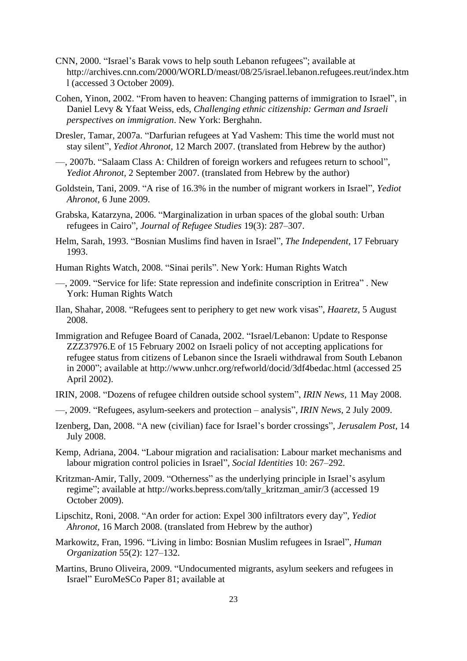- CNN, 2000. "Israel's Barak vows to help south Lebanon refugees"; available at http://archives.cnn.com/2000/WORLD/meast/08/25/israel.lebanon.refugees.reut/index.htm l (accessed 3 October 2009).
- Cohen, Yinon, 2002. "From haven to heaven: Changing patterns of immigration to Israel", in Daniel Levy & Yfaat Weiss, eds, *Challenging ethnic citizenship: German and Israeli perspectives on immigration*. New York: Berghahn.
- Dresler, Tamar, 2007a. "Darfurian refugees at Yad Vashem: This time the world must not stay silent", *Yediot Ahronot*, 12 March 2007. (translated from Hebrew by the author)
- —, 2007b. "Salaam Class A: Children of foreign workers and refugees return to school", *Yediot Ahronot,* 2 September 2007. (translated from Hebrew by the author)
- Goldstein, Tani, 2009. "A rise of 16.3% in the number of migrant workers in Israel", *Yediot Ahronot,* 6 June 2009.
- Grabska, Katarzyna, 2006. "Marginalization in urban spaces of the global south: Urban refugees in Cairo", *Journal of Refugee Studies* 19(3): 287–307.
- Helm, Sarah, 1993. "Bosnian Muslims find haven in Israel", *The Independent*, 17 February 1993.
- Human Rights Watch, 2008. "Sinai perils". New York: Human Rights Watch
- —, 2009. "Service for life: State repression and indefinite conscription in Eritrea". New York: Human Rights Watch
- Ilan, Shahar, 2008. "Refugees sent to periphery to get new work visas", *Haaretz*, 5 August 2008.
- Immigration and Refugee Board of Canada, 2002. "Israel/Lebanon: Update to Response ZZZ37976.E of 15 February 2002 on Israeli policy of not accepting applications for refugee status from citizens of Lebanon since the Israeli withdrawal from South Lebanon in 2000"; available at http://www.unhcr.org/refworld/docid/3df4bedac.html (accessed 25 April 2002).
- IRIN, 2008. "Dozens of refugee children outside school system", *IRIN News*, 11 May 2008.
- —, 2009. ―Refugees, asylum-seekers and protection analysis‖, *IRIN News,* 2 July 2009.
- Izenberg, Dan, 2008. "A new (civilian) face for Israel's border crossings", *Jerusalem Post*, 14 July 2008.
- Kemp, Adriana, 2004. "Labour migration and racialisation: Labour market mechanisms and labour migration control policies in Israel", *Social Identities* 10: 267–292.
- Kritzman-Amir, Tally, 2009. "Otherness" as the underlying principle in Israel's asylum regime"; available at http://works.bepress.com/tally\_kritzman\_amir/3 (accessed 19 October 2009).
- Lipschitz, Roni, 2008. "An order for action: Expel 300 infiltrators every day", *Yediot Ahronot,* 16 March 2008. (translated from Hebrew by the author)
- Markowitz, Fran, 1996. "Living in limbo: Bosnian Muslim refugees in Israel", *Human Organization* 55(2): 127–132.
- Martins, Bruno Oliveira, 2009. "Undocumented migrants, asylum seekers and refugees in Israel" EuroMeSCo Paper 81; available at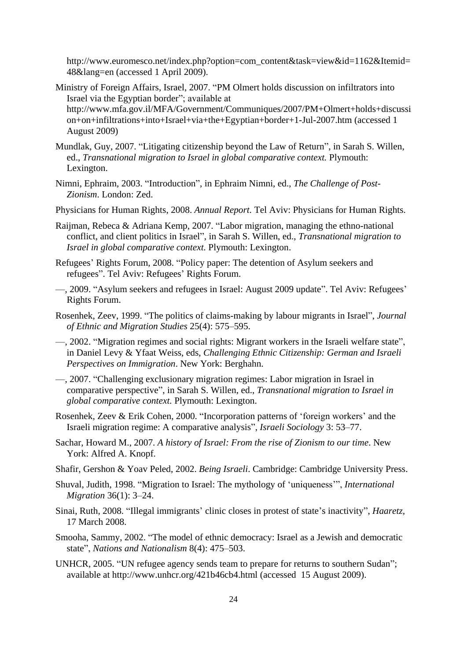http://www.euromesco.net/index.php?option=com\_content&task=view&id=1162&Itemid= 48&lang=en (accessed 1 April 2009).

- Ministry of Foreign Affairs, Israel, 2007. "PM Olmert holds discussion on infiltrators into Israel via the Egyptian border"; available at http://www.mfa.gov.il/MFA/Government/Communiques/2007/PM+Olmert+holds+discussi on+on+infiltrations+into+Israel+via+the+Egyptian+border+1-Jul-2007.htm (accessed 1 August 2009)
- Mundlak, Guy, 2007. "Litigating citizenship beyond the Law of Return", in Sarah S. Willen, ed., *Transnational migration to Israel in global comparative context.* Plymouth: Lexington.
- Nimni, Ephraim, 2003. "Introduction", in Ephraim Nimni, ed., *The Challenge of Post-Zionism*. London: Zed.
- Physicians for Human Rights, 2008. *Annual Report.* Tel Aviv: Physicians for Human Rights.
- Raijman, Rebeca & Adriana Kemp, 2007. "Labor migration, managing the ethno-national conflict, and client politics in Israel", in Sarah S. Willen, ed., *Transnational migration to Israel in global comparative context.* Plymouth: Lexington.
- Refugees' Rights Forum, 2008. "Policy paper: The detention of Asylum seekers and refugees". Tel Aviv: Refugees' Rights Forum.
- —, 2009. "Asylum seekers and refugees in Israel: August 2009 update". Tel Aviv: Refugees' Rights Forum.
- Rosenhek, Zeev, 1999. "The politics of claims-making by labour migrants in Israel", *Journal of Ethnic and Migration Studies* 25(4): 575–595.
- —, 2002. "Migration regimes and social rights: Migrant workers in the Israeli welfare state", in Daniel Levy & Yfaat Weiss, eds, *Challenging Ethnic Citizenship: German and Israeli Perspectives on Immigration*. New York: Berghahn.
- —, 2007. ―Challenging exclusionary migration regimes: Labor migration in Israel in comparative perspective", in Sarah S. Willen, ed., *Transnational migration to Israel in global comparative context.* Plymouth: Lexington.
- Rosenhek, Zeev & Erik Cohen, 2000. "Incorporation patterns of 'foreign workers' and the Israeli migration regime: A comparative analysis‖, *Israeli Sociology* 3: 53–77.
- Sachar, Howard M., 2007. *A history of Israel: From the rise of Zionism to our time*. New York: Alfred A. Knopf.
- Shafir, Gershon & Yoav Peled, 2002. *Being Israeli*. Cambridge: Cambridge University Press.
- Shuval, Judith, 1998. "Migration to Israel: The mythology of 'uniqueness'", *International Migration* 36(1): 3–24.
- Sinai, Ruth, 2008. "Illegal immigrants' clinic closes in protest of state's inactivity", *Haaretz*, 17 March 2008.
- Smooha, Sammy, 2002. "The model of ethnic democracy: Israel as a Jewish and democratic state", *Nations and Nationalism* 8(4): 475–503.
- UNHCR, 2005. "UN refugee agency sends team to prepare for returns to southern Sudan"; available at http://www.unhcr.org/421b46cb4.html (accessed 15 August 2009).